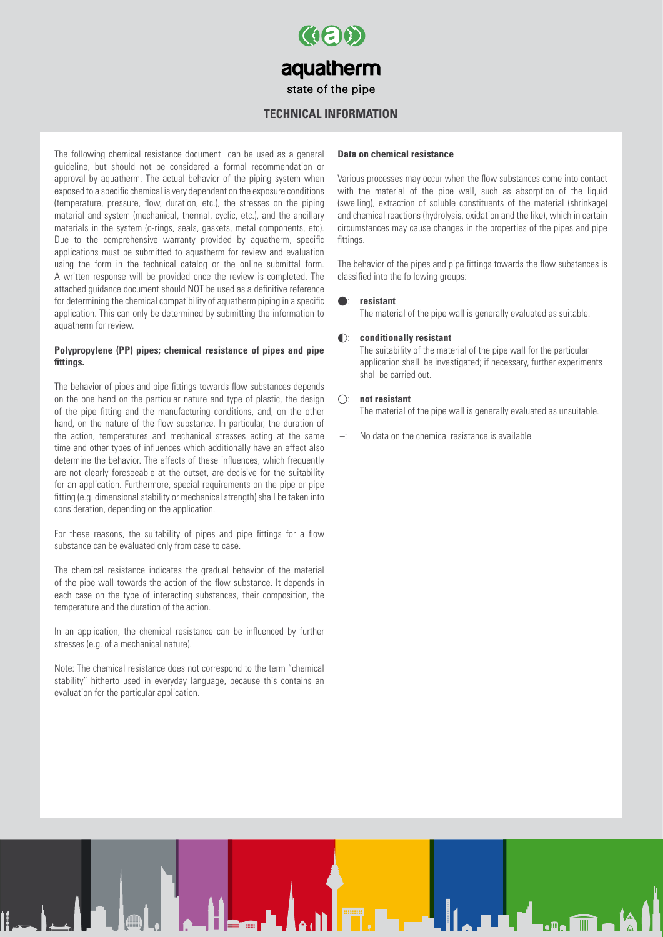

#### **Technical information**

The following chemical resistance document can be used as a general guideline, but should not be considered a formal recommendation or approval by aquatherm. The actual behavior of the piping system when exposed to a specific chemical is very dependent on the exposure conditions (temperature, pressure, flow, duration, etc.), the stresses on the piping material and system (mechanical, thermal, cyclic, etc.), and the ancillary materials in the system (o-rings, seals, gaskets, metal components, etc). Due to the comprehensive warranty provided by aquatherm, specific applications must be submitted to aquatherm for review and evaluation using the form in the technical catalog or the online submittal form. A written response will be provided once the review is completed. The attached guidance document should NOT be used as a definitive reference for determining the chemical compatibility of aquatherm piping in a specific application. This can only be determined by submitting the information to aquatherm for review.

#### **Polypropylene (PP) pipes; chemical resistance of pipes and pipe fittings.**

The behavior of pipes and pipe fittings towards flow substances depends on the one hand on the particular nature and type of plastic, the design of the pipe fitting and the manufacturing conditions, and, on the other hand, on the nature of the flow substance. In particular, the duration of the action, temperatures and mechanical stresses acting at the same time and other types of influences which additionally have an effect also determine the behavior. The effects of these influences, which frequently are not clearly foreseeable at the outset, are decisive for the suitability for an application. Furthermore, special requirements on the pipe or pipe fitting (e.g. dimensional stability or mechanical strength) shall be taken into consideration, depending on the application.

For these reasons, the suitability of pipes and pipe fittings for a flow substance can be evaluated only from case to case.

The chemical resistance indicates the gradual behavior of the material of the pipe wall towards the action of the flow substance. It depends in each case on the type of interacting substances, their composition, the temperature and the duration of the action.

In an application, the chemical resistance can be influenced by further stresses (e.g. of a mechanical nature).

Note: The chemical resistance does not correspond to the term "chemical stability" hitherto used in everyday language, because this contains an evaluation for the particular application.

#### **Data on chemical resistance**

Various processes may occur when the flow substances come into contact with the material of the pipe wall, such as absorption of the liquid (swelling), extraction of soluble constituents of the material (shrinkage) and chemical reactions (hydrolysis, oxidation and the like), which in certain circumstances may cause changes in the properties of the pipes and pipe fittings

The behavior of the pipes and pipe fittings towards the flow substances is classified into the following groups:

#### : **resistant**

The material of the pipe wall is generally evaluated as suitable.

#### : **conditionally resistant**

The suitability of the material of the pipe wall for the particular application shall be investigated; if necessary, further experiments shall be carried out.

#### : **not resistant**

The material of the pipe wall is generally evaluated as unsuitable.

No data on the chemical resistance is available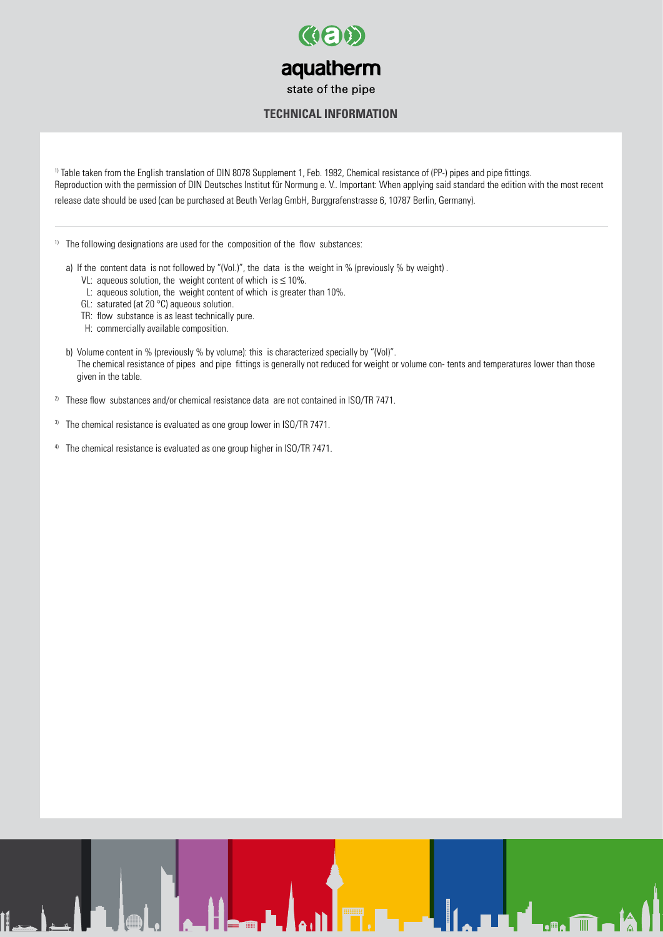

#### **Technical information**

1) Table taken from the English translation of DIN 8078 Supplement 1, Feb. 1982, Chemical resistance of (PP-) pipes and pipe fittings. Reproduction with the permission of DIN Deutsches Institut für Normung e. V.. Important: When applying said standard the edition with the most recent release date should be used (can be purchased at Beuth Verlag GmbH, Burggrafenstrasse 6, 10787 Berlin, Germany).

<sup>1)</sup> The following designations are used for the composition of the flow substances:

- a) If the content data is not followed by "(Vol.)", the data is the weight in % (previously % by weight) .
	- VL: aqueous solution, the weight content of which is ≤ 10%.
	- L: aqueous solution, the weight content of which is greater than 10%.
	- GL: saturated (at 20 °C) aqueous solution.
	- TR: flow substance is as least technically pure.
	- H: commercially available composition.
- b) Volume content in % (previously % by volume): this is characterized specially by "(Vol)". The chemical resistance of pipes and pipe fittings is generally not reduced for weight or volume con- tents and temperatures lower than those given in the table.
- <sup>2)</sup> These flow substances and/or chemical resistance data are not contained in ISO/TR 7471.
- $3)$  The chemical resistance is evaluated as one group lower in ISO/TR 7471.
- <sup>4)</sup> The chemical resistance is evaluated as one group higher in ISO/TR 7471.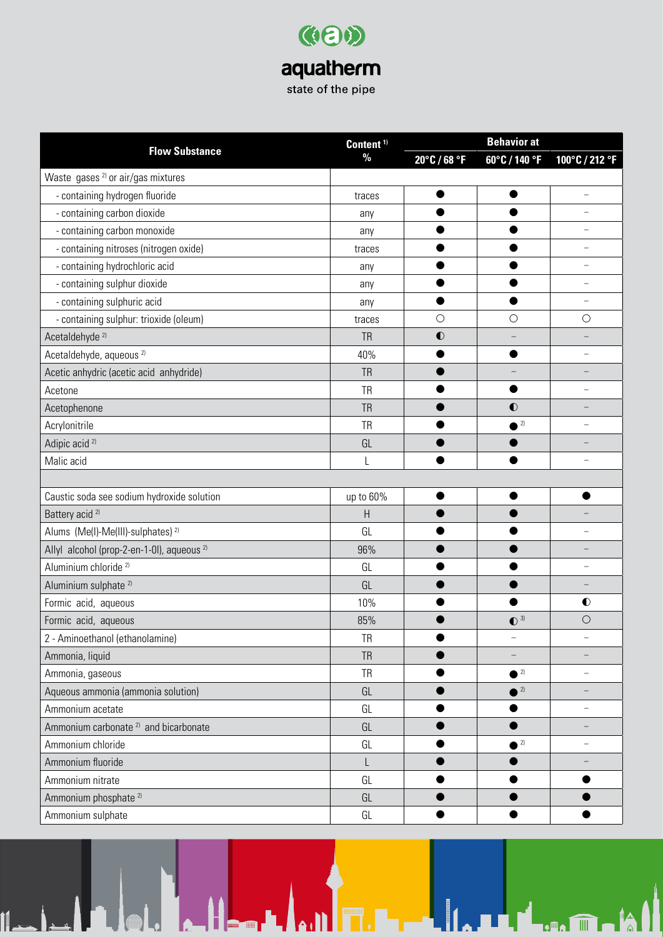| Content <sup>1)</sup>                                 | <b>Behavior at</b> |              |                         |                          |
|-------------------------------------------------------|--------------------|--------------|-------------------------|--------------------------|
| <b>Flow Substance</b>                                 | $\frac{0}{0}$      | 20°C / 68 °F | 60°C / 140 °F           | 100°C / 212 °F           |
| Waste gases <sup>2)</sup> or air/gas mixtures         |                    |              |                         |                          |
| - containing hydrogen fluoride                        | traces             |              |                         | $\overline{\phantom{0}}$ |
| - containing carbon dioxide                           | any                |              |                         |                          |
| - containing carbon monoxide                          | any                |              |                         |                          |
| - containing nitroses (nitrogen oxide)                | traces             |              |                         |                          |
| - containing hydrochloric acid                        | any                |              |                         | $\overline{\phantom{0}}$ |
| - containing sulphur dioxide                          | any                |              |                         |                          |
| - containing sulphuric acid                           | any                |              |                         |                          |
| - containing sulphur: trioxide (oleum)                | traces             | $\bigcirc$   | $\bigcirc$              | $\bigcirc$               |
| Acetaldehyde <sup>2)</sup>                            | <b>TR</b>          | $\bullet$    |                         |                          |
| Acetaldehyde, aqueous <sup>2)</sup>                   | 40%                | ●            |                         |                          |
| Acetic anhydric (acetic acid anhydride)               | <b>TR</b>          |              |                         |                          |
| Acetone                                               | <b>TR</b>          |              |                         |                          |
| Acetophenone                                          | <b>TR</b>          |              | $\bullet$               |                          |
| Acrylonitrile                                         | <b>TR</b>          |              | $\bullet$ <sup>2)</sup> | $\equiv$                 |
| Adipic acid <sup>2)</sup>                             | GL                 |              |                         |                          |
| Malic acid                                            |                    |              |                         |                          |
|                                                       |                    |              |                         |                          |
| Caustic soda see sodium hydroxide solution            | up to 60%          |              |                         |                          |
| Battery acid <sup>2)</sup>                            | H                  |              |                         |                          |
| Alums (Me(I)-Me(III)-sulphates) <sup>2)</sup>         | GL                 |              |                         |                          |
| Allyl alcohol (prop-2-en-1-0l), aqueous <sup>2)</sup> | 96%                |              |                         |                          |
| Aluminium chloride <sup>2)</sup>                      | GL                 |              |                         |                          |
| Aluminium sulphate <sup>2)</sup>                      | GL                 |              |                         |                          |
| Formic acid, aqueous                                  | 10%                |              |                         | $\bullet$                |
| Formic acid, aqueous                                  | 85%                |              | $\bullet$ <sup>3)</sup> | $\bigcirc$               |
| 2 - Aminoethanol (ethanolamine)                       | <b>TR</b>          |              |                         |                          |
| Ammonia, liquid                                       | <b>TR</b>          |              |                         |                          |
| Ammonia, gaseous                                      | <b>TR</b>          |              | $\bullet$ <sup>2)</sup> | -                        |
| Aqueous ammonia (ammonia solution)                    | GL                 |              | $^2$                    |                          |
| Ammonium acetate                                      | GL                 |              |                         |                          |
| Ammonium carbonate <sup>2)</sup> and bicarbonate      | GL                 |              |                         |                          |
| Ammonium chloride                                     | GL                 |              | $^{2}$                  |                          |
| Ammonium fluoride                                     | L                  |              |                         |                          |
| Ammonium nitrate                                      | GL                 |              |                         |                          |
| Ammonium phosphate <sup>2)</sup>                      | GL                 |              |                         |                          |
| Ammonium sulphate                                     | GL                 |              |                         |                          |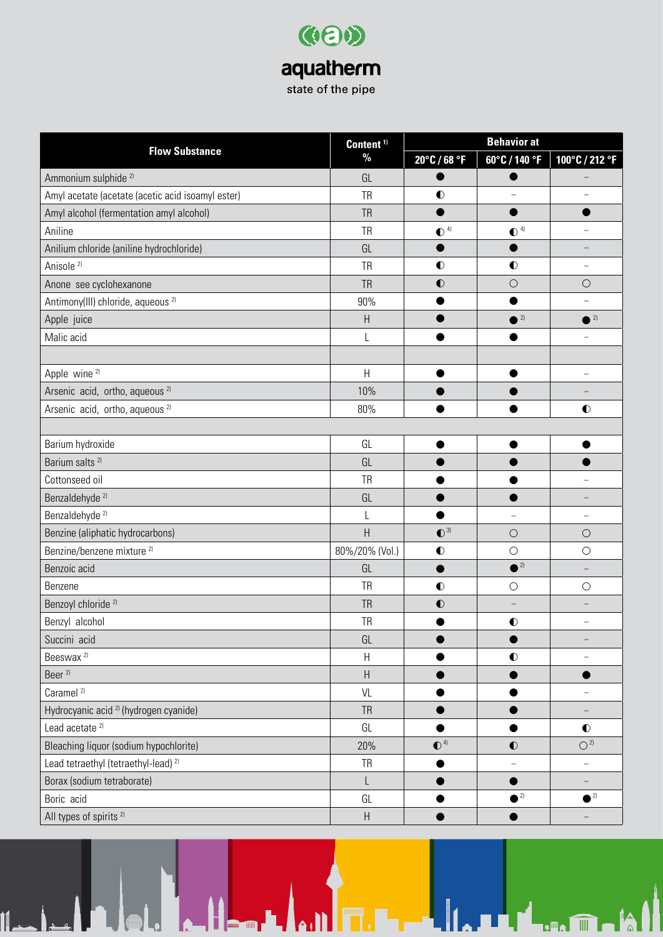| Content <sup>1)</sup><br><b>Flow Substance</b>    | <b>Behavior at</b>        |                         |                         |                          |
|---------------------------------------------------|---------------------------|-------------------------|-------------------------|--------------------------|
|                                                   | $\%$                      | 20°C / 68 °F            | 60°C / 140 °F           | 100°C / 212 °F           |
| Ammonium sulphide <sup>2)</sup>                   | GL                        |                         |                         |                          |
| Amyl acetate (acetate (acetic acid isoamyl ester) | <b>TR</b>                 | $\bullet$               |                         |                          |
| Amyl alcohol (fermentation amyl alcohol)          | <b>TR</b>                 | $\bullet$               |                         |                          |
| Aniline                                           | <b>TR</b>                 | $\bullet$ <sup>4)</sup> | $\bullet$ <sup>4)</sup> |                          |
| Anilium chloride (aniline hydrochloride)          | GL                        |                         |                         |                          |
| Anisole <sup>2)</sup>                             | <b>TR</b>                 | $\bullet$               | $\bullet$               | $\equiv$                 |
| Anone see cyclohexanone                           | <b>TR</b>                 | $\bullet$               | $\bigcirc$              | $\bigcirc$               |
| Antimony(III) chloride, aqueous <sup>2)</sup>     | 90%                       |                         | ●                       |                          |
| Apple juice                                       | $\boldsymbol{\mathsf{H}}$ |                         | $^2$                    | $^2$                     |
| Malic acid                                        | L                         |                         |                         |                          |
|                                                   |                           |                         |                         |                          |
| Apple wine <sup>2)</sup>                          | H                         | ●                       |                         | L.                       |
| Arsenic acid, ortho, aqueous <sup>2)</sup>        | 10%                       |                         |                         |                          |
| Arsenic acid, ortho, aqueous <sup>2)</sup>        | 80%                       |                         |                         | $\bullet$                |
|                                                   |                           |                         |                         |                          |
| Barium hydroxide                                  | GL                        |                         |                         |                          |
| Barium salts <sup>2)</sup>                        | GL                        |                         |                         |                          |
| Cottonseed oil                                    | <b>TR</b>                 |                         |                         |                          |
| Benzaldehyde <sup>2)</sup>                        | GL                        |                         |                         |                          |
| Benzaldehyde <sup>2)</sup>                        | L                         |                         | ÷                       | -                        |
| Benzine (aliphatic hydrocarbons)                  | $\boldsymbol{\mathsf{H}}$ | $\mathbf{O}^{3}$        | $\bigcirc$              | $\bigcirc$               |
| Benzine/benzene mixture <sup>2)</sup>             | 80%/20% (Vol.)            | $\bullet$               | $\bigcirc$              | $\bigcirc$               |
| Benzoic acid                                      | GL                        | ●                       | $\bullet$ <sup>2)</sup> | $\overline{\phantom{0}}$ |
| Benzene                                           | <b>TR</b>                 | $\bullet$               | $\bigcirc$              | $\bigcirc$               |
| Benzoyl chloride <sup>2)</sup>                    | <b>TR</b>                 | $\bullet$               |                         |                          |
| Benzyl alcohol                                    | <b>TR</b>                 |                         | $\bullet$               |                          |
| Succini acid                                      | GL                        |                         |                         |                          |
| Beeswax <sup>2)</sup>                             | $\sf H$                   |                         | $\bullet$               |                          |
| Beer <sup>2)</sup>                                | $\boldsymbol{\mathsf{H}}$ |                         |                         |                          |
| Caramel <sup>2)</sup>                             | VL                        |                         |                         |                          |
| Hydrocyanic acid <sup>2)</sup> (hydrogen cyanide) | <b>TR</b>                 |                         |                         |                          |
| Lead acetate <sup>2)</sup>                        | GL                        |                         |                         | $\bullet$                |
| Bleaching liquor (sodium hypochlorite)            | 20%                       | $\mathbf{O}^{4}$        | $\bullet$               | $O^{2}$                  |
| Lead tetraethyl (tetraethyl-lead) <sup>2)</sup>   | <b>TR</b>                 |                         |                         | $\overline{\phantom{0}}$ |
| Borax (sodium tetraborate)                        | L                         |                         |                         | $\overline{\phantom{0}}$ |
| Boric acid                                        | GL                        |                         | $^2$                    | $\bullet$ <sup>2)</sup>  |
| All types of spirits <sup>2)</sup>                | $\boldsymbol{\mathsf{H}}$ |                         |                         |                          |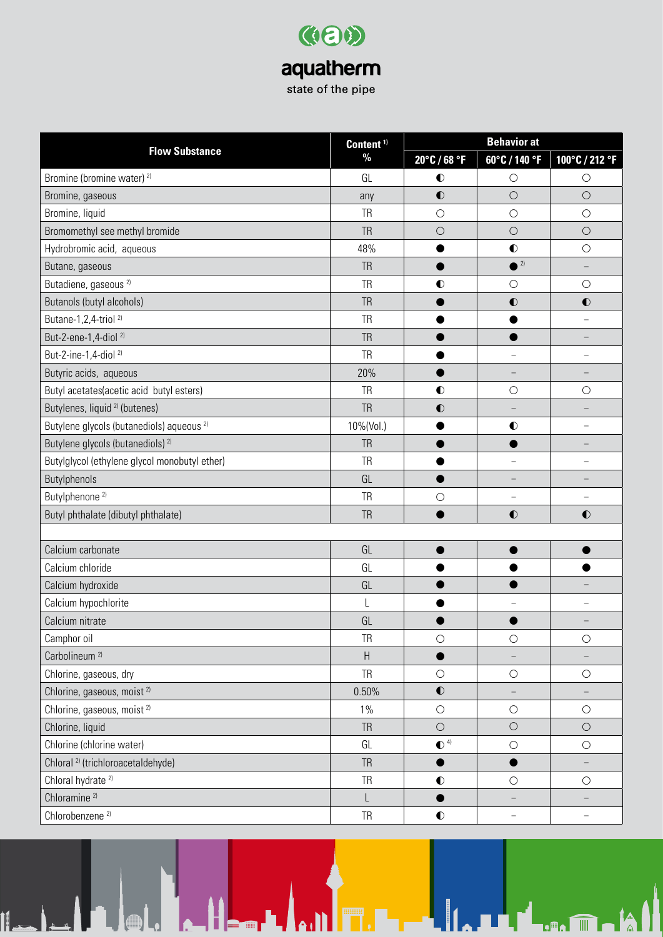| Content <sup>1)</sup>                                | <b>Behavior at</b> |                         |                          |                          |
|------------------------------------------------------|--------------------|-------------------------|--------------------------|--------------------------|
| <b>Flow Substance</b>                                | $\%$               | 20°C / 68 °F            | 60°C / 140 °F            | 100°C / 212 °F           |
| Bromine (bromine water) <sup>2)</sup>                | GL                 | $\bullet$               | $\circ$                  | $\bigcirc$               |
| Bromine, gaseous                                     | any                | $\bullet$               | $\bigcirc$               | $\bigcirc$               |
| Bromine, liquid                                      | <b>TR</b>          | $\bigcirc$              | $\circ$                  | $\bigcirc$               |
| Bromomethyl see methyl bromide                       | <b>TR</b>          | $\bigcirc$              | $\bigcirc$               | $\bigcirc$               |
| Hydrobromic acid, aqueous                            | 48%                |                         | $\bullet$                | $\bigcirc$               |
| Butane, gaseous                                      | <b>TR</b>          |                         | $\sqrt{2}$               | $\qquad \qquad -$        |
| Butadiene, gaseous <sup>2)</sup>                     | <b>TR</b>          | $\bullet$               | $\bigcirc$               | $\bigcirc$               |
| Butanols (butyl alcohols)                            | <b>TR</b>          |                         | $\bullet$                | $\bullet$                |
| Butane-1,2,4-triol <sup>2)</sup>                     | <b>TR</b>          |                         |                          | $\overline{\phantom{0}}$ |
| But-2-ene-1,4-diol <sup>2)</sup>                     | <b>TR</b>          |                         |                          |                          |
| But-2-ine-1,4-diol <sup>2)</sup>                     | <b>TR</b>          |                         | $\overline{\phantom{0}}$ |                          |
| Butyric acids, aqueous                               | 20%                |                         | -                        | -                        |
| Butyl acetates(acetic acid butyl esters)             | <b>TR</b>          | $\bullet$               | $\bigcirc$               | $\bigcirc$               |
| Butylenes, liquid <sup>2)</sup> (butenes)            | <b>TR</b>          | $\bullet$               |                          |                          |
| Butylene glycols (butanediols) aqueous <sup>2)</sup> | 10%(Vol.)          |                         | $\bullet$                |                          |
| Butylene glycols (butanediols) <sup>2)</sup>         | <b>TR</b>          |                         |                          |                          |
| Butylglycol (ethylene glycol monobutyl ether)        | <b>TR</b>          |                         | $\overline{\phantom{0}}$ |                          |
| Butylphenols                                         | GL                 |                         |                          |                          |
| Butylphenone <sup>2)</sup>                           | <b>TR</b>          | $\bigcirc$              |                          |                          |
| Butyl phthalate (dibutyl phthalate)                  | <b>TR</b>          |                         | $\bullet$                | $\bullet$                |
|                                                      |                    |                         |                          |                          |
| Calcium carbonate                                    | GL                 |                         |                          |                          |
| Calcium chloride                                     | GL                 |                         |                          |                          |
| Calcium hydroxide                                    | GL                 |                         |                          |                          |
| Calcium hypochlorite                                 | L                  |                         |                          |                          |
| Calcium nitrate                                      | GL                 |                         |                          |                          |
| Camphor oil                                          | <b>TR</b>          | $\bigcirc$              | $\circ$                  | $\bigcirc$               |
| Carbolineum <sup>2)</sup>                            | $\sf H$            |                         |                          | $\qquad \qquad -$        |
| Chlorine, gaseous, dry                               | <b>TR</b>          | $\bigcirc$              | $\bigcirc$               | $\bigcirc$               |
| Chlorine, gaseous, moist <sup>2)</sup>               | 0.50%              | $\bullet$               |                          | -                        |
| Chlorine, gaseous, moist <sup>2)</sup>               | $1\%$              | $\bigcirc$              | $\bigcirc$               | $\bigcirc$               |
| Chlorine, liquid                                     | <b>TR</b>          | $\bigcirc$              | $\bigcirc$               | $\bigcirc$               |
| Chlorine (chlorine water)                            | GL                 | $\bullet$ <sup>4)</sup> | $\circ$                  | $\bigcirc$               |
| Chloral <sup>2</sup> (trichloroacetaldehyde)         | <b>TR</b>          | ●                       |                          | -                        |
| Chloral hydrate <sup>2)</sup>                        | <b>TR</b>          | $\bullet$               | $\bigcirc$               | $\bigcirc$               |
| Chloramine <sup>2)</sup>                             | L                  |                         |                          |                          |
| Chlorobenzene <sup>2)</sup>                          | ${\sf TR}$         | $\bullet$               | $\overline{\phantom{a}}$ | -                        |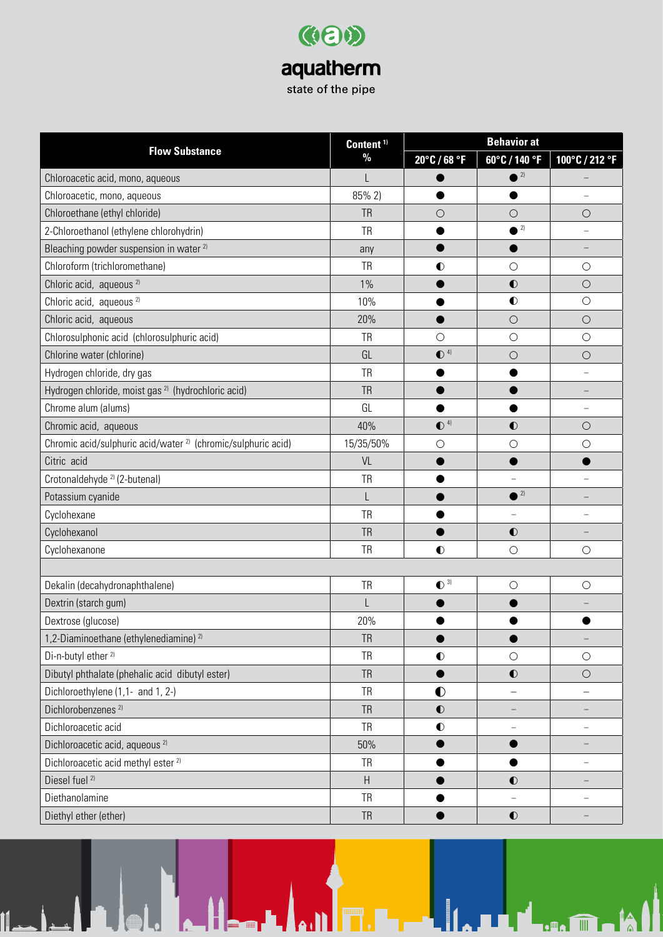| Content <sup>1)</sup>                                                    | <b>Behavior at</b> |                         |                          |                          |
|--------------------------------------------------------------------------|--------------------|-------------------------|--------------------------|--------------------------|
| <b>Flow Substance</b>                                                    | $\%$               | 20°C / 68 °F            | 60°C / 140 °F            | 100°C / 212 °F           |
| Chloroacetic acid, mono, aqueous                                         |                    |                         | 2)                       |                          |
| Chloroacetic, mono, aqueous                                              | 85% 2)             |                         |                          |                          |
| Chloroethane (ethyl chloride)                                            | <b>TR</b>          | $\circ$                 | $\circ$                  | $\bigcirc$               |
| 2-Chloroethanol (ethylene chlorohydrin)                                  | <b>TR</b>          |                         | 2)                       |                          |
| Bleaching powder suspension in water <sup>2)</sup>                       | any                |                         |                          |                          |
| Chloroform (trichloromethane)                                            | <b>TR</b>          | $\bullet$               | $\bigcirc$               | $\bigcirc$               |
| Chloric acid, aqueous <sup>2)</sup>                                      | $1\%$              |                         | $\bullet$                | $\bigcirc$               |
| Chloric acid, aqueous <sup>2)</sup>                                      | 10%                |                         | $\bullet$                | $\bigcirc$               |
| Chloric acid, aqueous                                                    | 20%                |                         | $\bigcirc$               | $\bigcirc$               |
| Chlorosulphonic acid (chlorosulphuric acid)                              | <b>TR</b>          | $\circ$                 | $\bigcirc$               | $\bigcirc$               |
| Chlorine water (chlorine)                                                | GL                 | $\bullet$ <sup>4)</sup> | $\bigcirc$               | $\bigcirc$               |
| Hydrogen chloride, dry gas                                               | <b>TR</b>          |                         |                          |                          |
| Hydrogen chloride, moist gas <sup>2)</sup> (hydrochloric acid)           | <b>TR</b>          |                         |                          |                          |
| Chrome alum (alums)                                                      | GL                 |                         |                          |                          |
| Chromic acid, aqueous                                                    | 40%                | $\bullet$ <sup>4)</sup> | $\bullet$                | $\bigcirc$               |
| Chromic acid/sulphuric acid/water <sup>2)</sup> (chromic/sulphuric acid) | 15/35/50%          | $\bigcirc$              | $\bigcirc$               | $\bigcirc$               |
| Citric acid                                                              | VL                 |                         |                          |                          |
| Crotonaldehyde <sup>2</sup> (2-butenal)                                  | <b>TR</b>          |                         | $\overline{\phantom{0}}$ |                          |
| Potassium cyanide                                                        |                    |                         | 2)                       |                          |
| Cyclohexane                                                              | <b>TR</b>          |                         | $\overline{\phantom{0}}$ |                          |
| Cyclohexanol                                                             | <b>TR</b>          |                         | $\bullet$                |                          |
| Cyclohexanone                                                            | <b>TR</b>          | $\bullet$               | $\bigcirc$               | $\bigcirc$               |
|                                                                          |                    |                         |                          |                          |
| Dekalin (decahydronaphthalene)                                           | <b>TR</b>          | $\bullet$ <sup>3)</sup> | $\circ$                  | $\bigcirc$               |
| Dextrin (starch gum)                                                     |                    |                         |                          |                          |
| Dextrose (glucose)                                                       | 20%                |                         |                          |                          |
| 1,2-Diaminoethane (ethylenediamine) <sup>2)</sup>                        | <b>TR</b>          |                         | ●                        | $\overline{\phantom{a}}$ |
| Di-n-butyl ether <sup>2)</sup>                                           | <b>TR</b>          | $\bullet$               | $\bigcirc$               | $\bigcirc$               |
| Dibutyl phthalate (phehalic acid dibutyl ester)                          | <b>TR</b>          | $\bullet$               | $\bullet$                | $\bigcirc$               |
| Dichloroethylene (1,1- and 1, 2-)                                        | TR                 | $\bullet$               |                          |                          |
| Dichlorobenzenes <sup>2)</sup>                                           | <b>TR</b>          | $\bullet$               |                          |                          |
| Dichloroacetic acid                                                      | TR                 | $\bullet$               | $\qquad \qquad -$        | -                        |
| Dichloroacetic acid, aqueous <sup>2)</sup>                               | 50%                |                         |                          |                          |
| Dichloroacetic acid methyl ester <sup>2)</sup>                           | <b>TR</b>          |                         |                          |                          |
| Diesel fuel <sup>2)</sup>                                                | $\sf H$            |                         | $\bullet$                |                          |
| Diethanolamine                                                           | <b>TR</b>          |                         | $\qquad \qquad -$        | $\overline{\phantom{0}}$ |
| Diethyl ether (ether)                                                    | ${\sf TR}$         |                         | $\bullet$                |                          |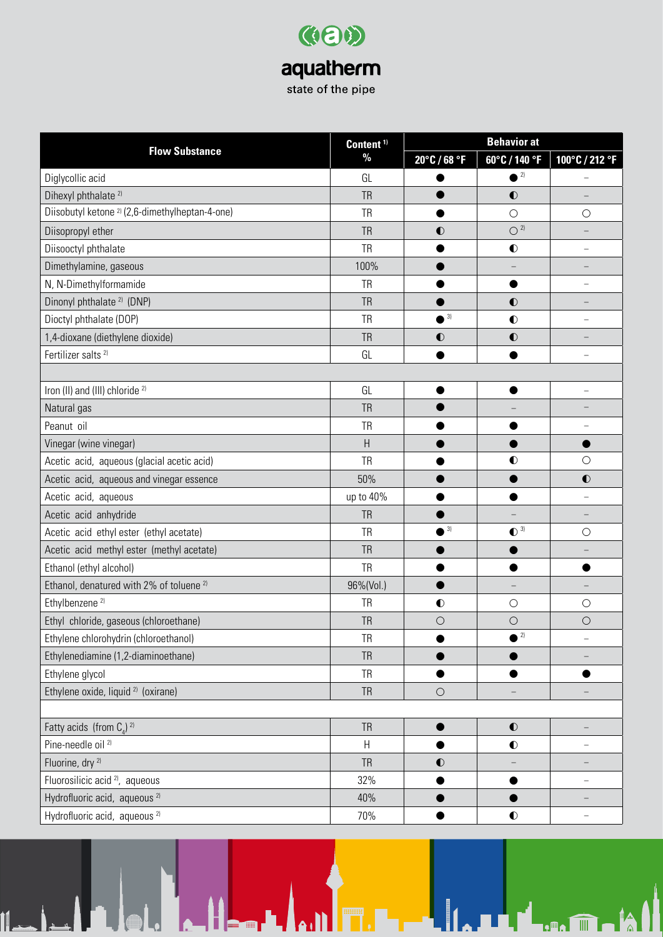| Content <sup>1)</sup>                                     |           | <b>Behavior at</b>      |                          |                |  |
|-----------------------------------------------------------|-----------|-------------------------|--------------------------|----------------|--|
| <b>Flow Substance</b>                                     | $\%$      | 20°C / 68 °F            | 60°C / 140 °F            | 100°C / 212 °F |  |
| Diglycollic acid                                          | GL        |                         | 2)                       |                |  |
| Dihexyl phthalate <sup>2)</sup>                           | <b>TR</b> |                         | $\bullet$                |                |  |
| Diisobutyl ketone <sup>2</sup> (2,6-dimethylheptan-4-one) | <b>TR</b> | ●                       | $\bigcirc$               | $\bigcirc$     |  |
| Diisopropyl ether                                         | <b>TR</b> | $\bullet$               | $O^{2}$                  |                |  |
| Diisooctyl phthalate                                      | <b>TR</b> |                         | $\bullet$                | L.             |  |
| Dimethylamine, gaseous                                    | 100%      |                         | $\overline{\phantom{0}}$ |                |  |
| N, N-Dimethylformamide                                    | <b>TR</b> |                         |                          |                |  |
| Dinonyl phthalate <sup>2)</sup> (DNP)                     | <b>TR</b> |                         | $\bullet$                |                |  |
| Dioctyl phthalate (DOP)                                   | <b>TR</b> | $\bullet$ <sup>3)</sup> | $\bullet$                | -              |  |
| 1,4-dioxane (diethylene dioxide)                          | <b>TR</b> | $\bullet$               | $\bullet$                |                |  |
| Fertilizer salts <sup>2)</sup>                            | GL        |                         |                          |                |  |
|                                                           |           |                         |                          |                |  |
| Iron (II) and (III) chloride <sup>2)</sup>                | GL        |                         |                          |                |  |
| Natural gas                                               | <b>TR</b> |                         |                          |                |  |
| Peanut oil                                                | <b>TR</b> |                         |                          |                |  |
| Vinegar (wine vinegar)                                    | H         |                         |                          |                |  |
| Acetic acid, aqueous (glacial acetic acid)                | <b>TR</b> |                         | $\bullet$                | $\bigcirc$     |  |
| Acetic acid, aqueous and vinegar essence                  | 50%       |                         |                          | $\bullet$      |  |
| Acetic acid, aqueous                                      | up to 40% |                         |                          |                |  |
| Acetic acid anhydride                                     | <b>TR</b> |                         |                          |                |  |
| Acetic acid ethyl ester (ethyl acetate)                   | <b>TR</b> | $\bullet$ <sup>3)</sup> | $\bullet$ <sup>3)</sup>  | $\bigcirc$     |  |
| Acetic acid methyl ester (methyl acetate)                 | <b>TR</b> |                         |                          |                |  |
| Ethanol (ethyl alcohol)                                   | <b>TR</b> |                         |                          |                |  |
| Ethanol, denatured with 2% of toluene <sup>2)</sup>       | 96%(Vol.) |                         | $\overline{\phantom{0}}$ |                |  |
| Ethylbenzene <sup>2)</sup>                                | <b>TR</b> | $\bullet$               | $\bigcirc$               | $\bigcirc$     |  |
| Ethyl chloride, gaseous (chloroethane)                    | <b>TR</b> | $\bigcirc$              | $\bigcirc$               | $\bigcirc$     |  |
| Ethylene chlorohydrin (chloroethanol)                     | <b>TR</b> |                         | 2)                       |                |  |
| Ethylenediamine (1,2-diaminoethane)                       | <b>TR</b> |                         |                          |                |  |
| Ethylene glycol                                           | <b>TR</b> |                         |                          |                |  |
| Ethylene oxide, liquid <sup>2)</sup> (oxirane)            | <b>TR</b> | $\bigcirc$              |                          |                |  |
|                                                           |           |                         |                          |                |  |
| Fatty acids (from $C_a$ ) <sup>2)</sup>                   | <b>TR</b> | $\bullet$               | $\bullet$                | —              |  |
| Pine-needle oil <sup>2)</sup>                             | Н         |                         | $\bullet$                |                |  |
| Fluorine, dry <sup>2)</sup>                               | <b>TR</b> | $\bullet$               |                          |                |  |
| Fluorosilicic acid <sup>2)</sup> , aqueous                | 32%       | $\bullet$               |                          | -              |  |
| Hydrofluoric acid, aqueous <sup>2)</sup>                  | 40%       |                         |                          |                |  |
| Hydrofluoric acid, aqueous <sup>2)</sup>                  | 70%       |                         | $\bullet$                |                |  |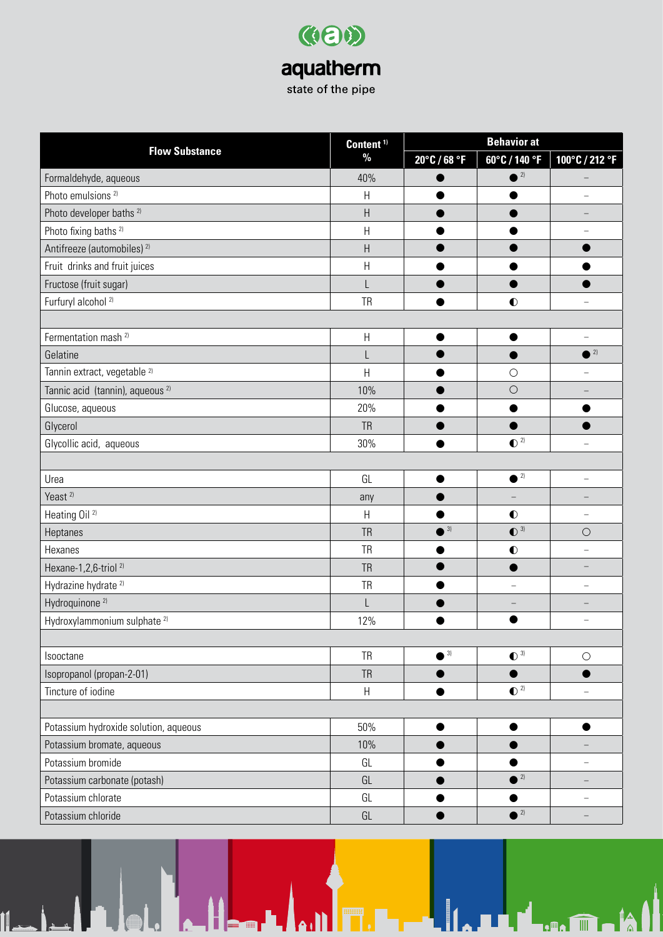| Content <sup>1)</sup>                       | <b>Behavior at</b> |                         |                          |                          |
|---------------------------------------------|--------------------|-------------------------|--------------------------|--------------------------|
| <b>Flow Substance</b>                       | $\%$               | 20°C / 68 °F            | 60°C / 140 °F            | 100°C / 212 °F           |
| Formaldehyde, aqueous                       | 40%                |                         | 2)                       |                          |
| Photo emulsions <sup>2)</sup>               | $\sf H$            |                         |                          |                          |
| Photo developer baths <sup>2)</sup>         | $\sf H$            |                         |                          |                          |
| Photo fixing baths <sup>2)</sup>            | $\sf H$            |                         |                          |                          |
| Antifreeze (automobiles) <sup>2)</sup>      | $\sf H$            |                         |                          |                          |
| Fruit drinks and fruit juices               | $\sf H$            |                         |                          |                          |
| Fructose (fruit sugar)                      |                    |                         |                          |                          |
| Furfuryl alcohol <sup>2)</sup>              | <b>TR</b>          |                         | $\bullet$                |                          |
|                                             |                    |                         |                          |                          |
| Fermentation mash <sup>2)</sup>             | $\sf H$            |                         |                          |                          |
| Gelatine                                    | L                  |                         |                          | $^2$                     |
| Tannin extract, vegetable 2)                | Н                  |                         | $\bigcirc$               |                          |
| Tannic acid (tannin), aqueous <sup>2)</sup> | 10%                |                         | $\bigcirc$               |                          |
| Glucose, aqueous                            | 20%                |                         |                          |                          |
| Glycerol                                    | <b>TR</b>          |                         |                          |                          |
| Glycollic acid, aqueous                     | 30%                |                         | $\bullet$ <sup>2)</sup>  |                          |
|                                             |                    |                         |                          |                          |
| Urea                                        | GL                 |                         | $^2$                     | $\qquad \qquad -$        |
| Yeast <sup>2)</sup>                         | any                |                         |                          |                          |
| Heating Oil <sup>2)</sup>                   | $\sf H$            |                         | $\bullet$                |                          |
| Heptanes                                    | <b>TR</b>          | $\bullet$ <sup>3)</sup> | $\bullet$ <sup>3)</sup>  | $\bigcirc$               |
| Hexanes                                     | <b>TR</b>          |                         | $\bullet$                |                          |
| Hexane-1,2,6-triol <sup>2)</sup>            | <b>TR</b>          |                         |                          |                          |
| Hydrazine hydrate <sup>2)</sup>             | <b>TR</b>          |                         | $\overline{\phantom{0}}$ |                          |
| Hydroquinone <sup>2)</sup>                  | L                  |                         |                          |                          |
| Hydroxylammonium sulphate <sup>2)</sup>     | 12%                |                         |                          |                          |
|                                             |                    |                         |                          |                          |
| Isooctane                                   | <b>TR</b>          | $\bullet$ <sup>3)</sup> | $\bullet$ <sup>3)</sup>  | $\bigcirc$               |
| Isopropanol (propan-2-01)                   | <b>TR</b>          | $\bullet$               | $\bullet$                | $\bullet$                |
| Tincture of iodine                          | $\sf H$            |                         | $\bullet$ <sup>2)</sup>  |                          |
|                                             |                    |                         |                          |                          |
| Potassium hydroxide solution, aqueous       | 50%                | $\bullet$               | $\bullet$                | $\bullet$                |
| Potassium bromate, aqueous                  | 10%                |                         |                          |                          |
| Potassium bromide                           | GL                 |                         |                          | -                        |
| Potassium carbonate (potash)                | GL                 |                         | $^2$                     | $\qquad \qquad -$        |
| Potassium chlorate                          | GL                 |                         |                          | $\overline{\phantom{0}}$ |
| Potassium chloride                          | GL                 | $\bullet$               | $\bullet$ <sup>2)</sup>  |                          |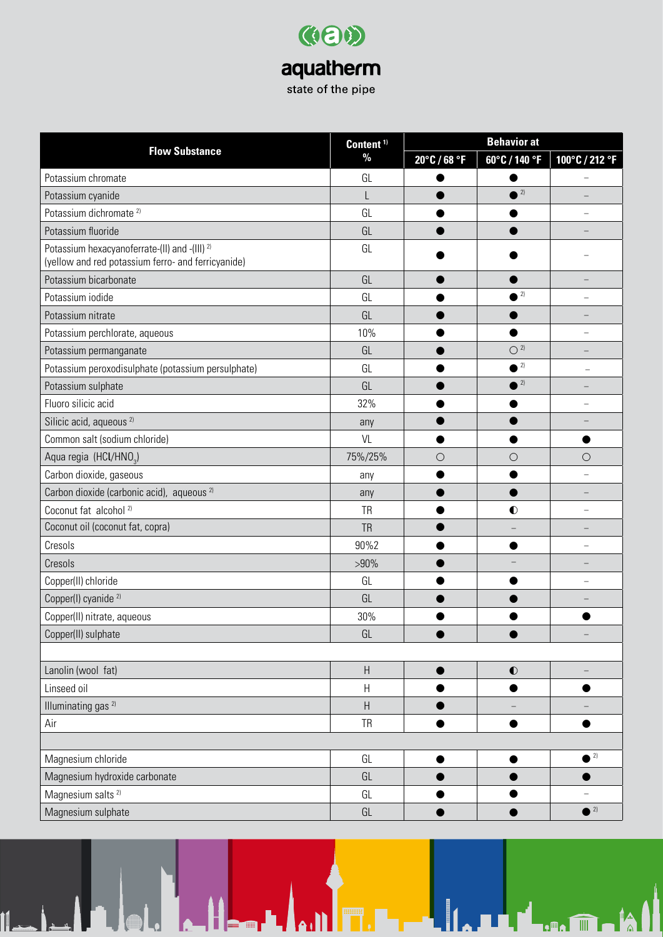|                                                                                                                | Content <sup>1)</sup>     | <b>Behavior at</b> |                         |                          |
|----------------------------------------------------------------------------------------------------------------|---------------------------|--------------------|-------------------------|--------------------------|
| <b>Flow Substance</b>                                                                                          | $\frac{0}{0}$             | 20°C / 68 °F       | 60°C / 140 °F           | 100°C / 212 °F           |
| Potassium chromate                                                                                             | GL                        |                    |                         |                          |
| Potassium cyanide                                                                                              |                           |                    | $\bullet$ 2)            |                          |
| Potassium dichromate <sup>2)</sup>                                                                             | GL                        |                    |                         |                          |
| Potassium fluoride                                                                                             | GL                        |                    |                         |                          |
| Potassium hexacyanoferrate-(II) and -(III) <sup>2)</sup><br>(yellow and red potassium ferro- and ferricyanide) | GL                        |                    |                         |                          |
| Potassium bicarbonate                                                                                          | GL                        |                    |                         |                          |
| Potassium iodide                                                                                               | GL                        |                    | 2)                      |                          |
| Potassium nitrate                                                                                              | GL                        |                    |                         |                          |
| Potassium perchlorate, aqueous                                                                                 | 10%                       |                    |                         | -                        |
| Potassium permanganate                                                                                         | GL                        |                    | $O^{2}$                 |                          |
| Potassium peroxodisulphate (potassium persulphate)                                                             | GL                        |                    | $\bullet$ <sup>2)</sup> |                          |
| Potassium sulphate                                                                                             | GL                        |                    | $2) \,$                 |                          |
| Fluoro silicic acid                                                                                            | 32%                       |                    |                         |                          |
| Silicic acid, aqueous <sup>2)</sup>                                                                            | any                       |                    |                         |                          |
| Common salt (sodium chloride)                                                                                  | VL                        |                    |                         |                          |
| Aqua regia (HCl/HNO <sub>3</sub> )                                                                             | 75%/25%                   | $\bigcirc$         | $\bigcirc$              | $\bigcirc$               |
| Carbon dioxide, gaseous                                                                                        | any                       |                    |                         |                          |
| Carbon dioxide (carbonic acid), aqueous <sup>2)</sup>                                                          | any                       |                    |                         |                          |
| Coconut fat alcohol <sup>2)</sup>                                                                              | <b>TR</b>                 |                    | $\bullet$               |                          |
| Coconut oil (coconut fat, copra)                                                                               | <b>TR</b>                 |                    |                         |                          |
| Cresols                                                                                                        | 90%2                      |                    |                         |                          |
| Cresols                                                                                                        | $>90\%$                   |                    |                         |                          |
| Copper(II) chloride                                                                                            | GL                        |                    |                         |                          |
| Copper(I) cyanide <sup>2)</sup>                                                                                | GL                        |                    |                         |                          |
| Copper(II) nitrate, aqueous                                                                                    | 30%                       |                    |                         |                          |
| Copper(II) sulphate                                                                                            | GL                        |                    |                         |                          |
|                                                                                                                |                           |                    |                         |                          |
| Lanolin (wool fat)                                                                                             | $\sf H$                   |                    | $\bullet$               |                          |
| Linseed oil                                                                                                    | H                         |                    |                         | ●                        |
| Illuminating gas <sup>2)</sup>                                                                                 | $\boldsymbol{\mathsf{H}}$ |                    |                         |                          |
| Air                                                                                                            | <b>TR</b>                 |                    |                         |                          |
|                                                                                                                |                           |                    |                         |                          |
| Magnesium chloride                                                                                             | GL                        |                    |                         | $\bullet$ <sup>2)</sup>  |
| Magnesium hydroxide carbonate                                                                                  | GL                        |                    |                         |                          |
| Magnesium salts <sup>2)</sup>                                                                                  | GL                        |                    |                         | $\overline{\phantom{0}}$ |
| Magnesium sulphate                                                                                             | GL                        |                    |                         | $^2$                     |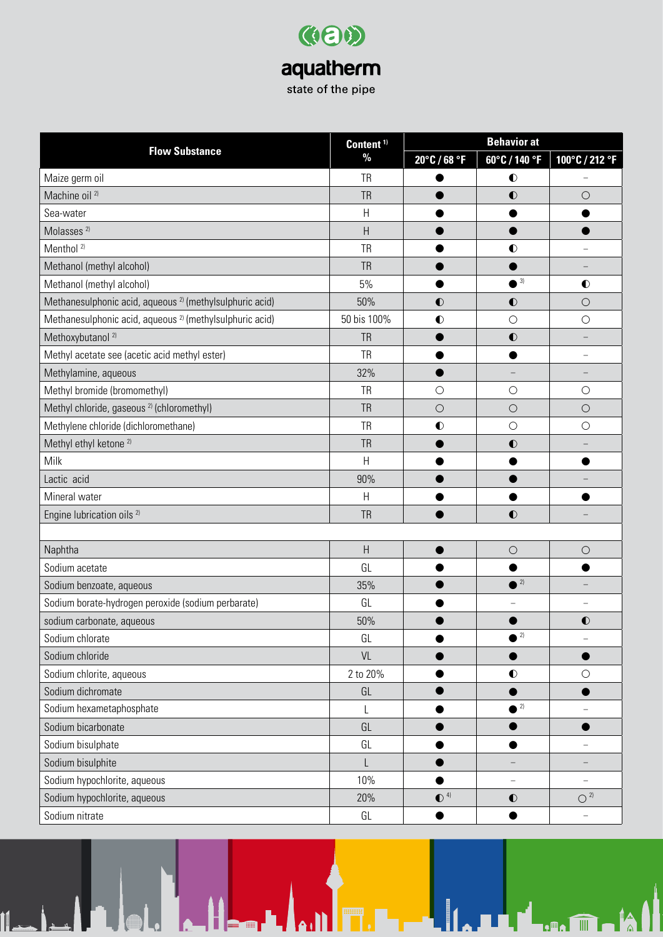| Content <sup>1)</sup>                                               |                | <b>Behavior at</b>      |                          |                          |  |
|---------------------------------------------------------------------|----------------|-------------------------|--------------------------|--------------------------|--|
| <b>Flow Substance</b>                                               | $\%$           | 20°C / 68 °F            | 60°C / 140 °F            | 100°C / 212 °F           |  |
| Maize germ oil                                                      | <b>TR</b>      |                         | $\bullet$                |                          |  |
| Machine oil <sup>2)</sup>                                           | <b>TR</b>      |                         | $\bullet$                | $\bigcirc$               |  |
| Sea-water                                                           | H              |                         |                          |                          |  |
| Molasses <sup>2)</sup>                                              | H              |                         |                          |                          |  |
| Menthol <sup>2)</sup>                                               | <b>TR</b>      |                         | $\bullet$                |                          |  |
| Methanol (methyl alcohol)                                           | <b>TR</b>      |                         |                          |                          |  |
| Methanol (methyl alcohol)                                           | 5%             |                         | 3)                       | $\bullet$                |  |
| Methanesulphonic acid, aqueous <sup>2)</sup> (methylsulphuric acid) | 50%            | $\bullet$               | $\bullet$                | $\bigcirc$               |  |
| Methanesulphonic acid, aqueous <sup>2</sup> (methylsulphuric acid)  | 50 bis 100%    | $\bullet$               | $\bigcirc$               | $\bigcirc$               |  |
| Methoxybutanol <sup>2)</sup>                                        | <b>TR</b>      |                         | $\bullet$                |                          |  |
| Methyl acetate see (acetic acid methyl ester)                       | <b>TR</b>      |                         |                          |                          |  |
| Methylamine, aqueous                                                | 32%            |                         | $\qquad \qquad -$        |                          |  |
| Methyl bromide (bromomethyl)                                        | <b>TR</b>      | $\bigcirc$              | $\bigcirc$               | $\bigcirc$               |  |
| Methyl chloride, gaseous <sup>2)</sup> (chloromethyl)               | <b>TR</b>      | $\circ$                 | $\bigcirc$               | $\bigcirc$               |  |
| Methylene chloride (dichloromethane)                                | <b>TR</b>      | $\bullet$               | $\bigcirc$               | $\bigcirc$               |  |
| Methyl ethyl ketone <sup>2)</sup>                                   | <b>TR</b>      |                         | $\bullet$                |                          |  |
| Milk                                                                | $\mathsf{H}$   |                         |                          |                          |  |
| Lactic acid                                                         | 90%            |                         |                          |                          |  |
| Mineral water                                                       | H              |                         |                          |                          |  |
| Engine lubrication oils <sup>2)</sup>                               | <b>TR</b>      |                         | $\bullet$                |                          |  |
|                                                                     |                |                         |                          |                          |  |
| Naphtha                                                             | $\overline{H}$ |                         | $\circ$                  | $\bigcirc$               |  |
| Sodium acetate                                                      | GL             |                         |                          |                          |  |
| Sodium benzoate, aqueous                                            | 35%            |                         | $^{\circ}$ <sup>2)</sup> |                          |  |
| Sodium borate-hydrogen peroxide (sodium perbarate)                  | GL             |                         |                          |                          |  |
| sodium carbonate, aqueous                                           | 50%            |                         |                          | $\bullet$                |  |
| Sodium chlorate                                                     | GL             |                         | $\bullet$ <sup>2)</sup>  |                          |  |
| Sodium chloride                                                     | VL             |                         |                          | ●                        |  |
| Sodium chlorite, aqueous                                            | 2 to 20%       |                         | $\bullet$                | $\bigcirc$               |  |
| Sodium dichromate                                                   | GL             |                         |                          |                          |  |
| Sodium hexametaphosphate                                            |                |                         | $^2$                     |                          |  |
| Sodium bicarbonate                                                  | GL             |                         |                          | 0                        |  |
| Sodium bisulphate                                                   | GL             |                         |                          |                          |  |
| Sodium bisulphite                                                   | L              |                         |                          |                          |  |
| Sodium hypochlorite, aqueous                                        | 10%            |                         | $\overline{\phantom{a}}$ | $\overline{\phantom{0}}$ |  |
| Sodium hypochlorite, aqueous                                        | 20%            | $\bullet$ <sup>4)</sup> | $\bullet$                | $O^{2}$                  |  |
| Sodium nitrate                                                      | GL             |                         |                          |                          |  |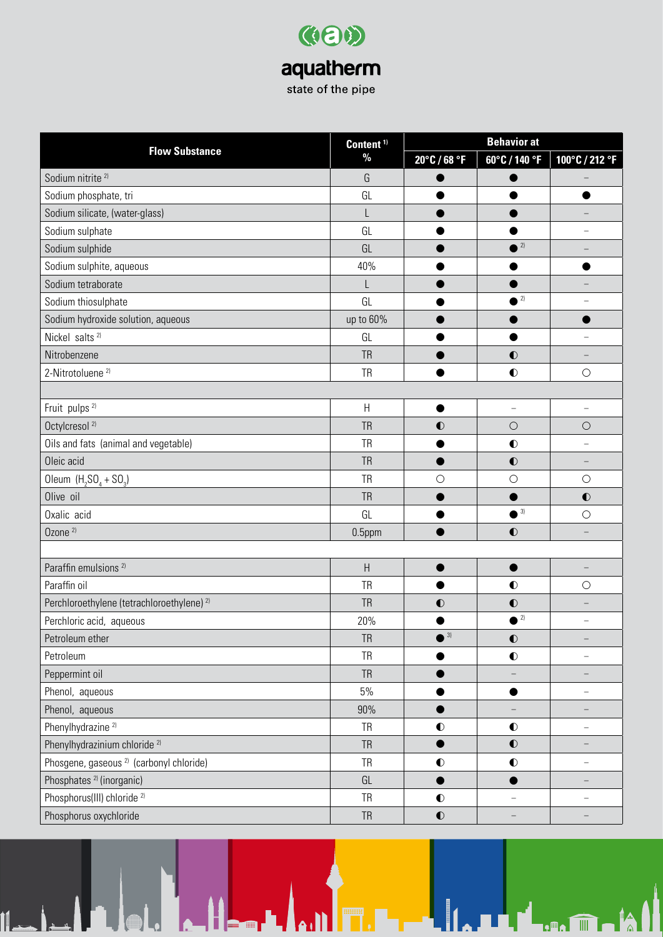| Content <sup>1)</sup>                                 | <b>Behavior at</b>        |              |                          |                          |
|-------------------------------------------------------|---------------------------|--------------|--------------------------|--------------------------|
| <b>Flow Substance</b>                                 | $\%$                      | 20°C / 68 °F | 60°C / 140 °F            | 100°C / 212 °F           |
| Sodium nitrite <sup>2)</sup>                          | G                         |              |                          |                          |
| Sodium phosphate, tri                                 | GL                        |              |                          |                          |
| Sodium silicate, (water-glass)                        | L                         |              |                          |                          |
| Sodium sulphate                                       | GL                        |              |                          |                          |
| Sodium sulphide                                       | GL                        |              | $^2$                     |                          |
| Sodium sulphite, aqueous                              | 40%                       |              |                          |                          |
| Sodium tetraborate                                    |                           |              |                          |                          |
| Sodium thiosulphate                                   | GL                        |              | $\bullet$ <sup>2)</sup>  |                          |
| Sodium hydroxide solution, aqueous                    | up to 60%                 |              |                          |                          |
| Nickel salts <sup>2)</sup>                            | GL                        |              |                          |                          |
| Nitrobenzene                                          | <b>TR</b>                 |              | $\bullet$                |                          |
| 2-Nitrotoluene <sup>2)</sup>                          | <b>TR</b>                 |              | $\bullet$                | $\bigcirc$               |
|                                                       |                           |              |                          |                          |
| Fruit pulps <sup>2)</sup>                             | $\boldsymbol{\mathsf{H}}$ | ●            | $\overline{\phantom{a}}$ | $\overline{\phantom{0}}$ |
| Octylcresol <sup>2)</sup>                             | <b>TR</b>                 | $\bullet$    | $\bigcirc$               | $\bigcirc$               |
| Oils and fats (animal and vegetable)                  | <b>TR</b>                 |              | $\bullet$                |                          |
| Oleic acid                                            | <b>TR</b>                 |              | $\bullet$                |                          |
| Oleum $(H_2SO_4 + SO_3)$                              | <b>TR</b>                 | $\bigcirc$   | $\bigcirc$               | $\bigcirc$               |
| Olive oil                                             | <b>TR</b>                 |              |                          | $\bullet$                |
| Oxalic acid                                           | GL                        |              | $\bullet$ <sup>3)</sup>  | $\bigcirc$               |
| Ozone <sup>2)</sup>                                   | 0.5ppm                    |              | $\bullet$                | —                        |
|                                                       |                           |              |                          |                          |
| Paraffin emulsions <sup>2)</sup>                      | $\overline{\mathsf{H}}$   |              |                          |                          |
| Paraffin oil                                          | <b>TR</b>                 |              | $\bullet$                | $\bigcirc$               |
| Perchloroethylene (tetrachloroethylene) <sup>2)</sup> | <b>TR</b>                 | $\bullet$    | $\bullet$                |                          |
| Perchloric acid, aqueous                              | 20%                       |              | $\bullet$ <sup>2)</sup>  | $\overline{\phantom{0}}$ |
| Petroleum ether                                       | <b>TR</b>                 | $^{3}$       | $\bullet$                |                          |
| Petroleum                                             | <b>TR</b>                 |              | $\bullet$                | -                        |
| Peppermint oil                                        | <b>TR</b>                 |              | $\qquad \qquad -$        | -                        |
| Phenol, aqueous                                       | 5%                        |              |                          |                          |
| Phenol, aqueous                                       | 90%                       |              |                          |                          |
| Phenylhydrazine <sup>2)</sup>                         | <b>TR</b>                 | $\bullet$    | $\bullet$                | $\overline{\phantom{0}}$ |
| Phenylhydrazinium chloride <sup>2)</sup>              | <b>TR</b>                 |              | $\bullet$                |                          |
| Phosgene, gaseous <sup>2)</sup> (carbonyl chloride)   | <b>TR</b>                 | $\bullet$    | $\bullet$                | -                        |
| Phosphates <sup>2)</sup> (inorganic)                  | GL                        |              |                          |                          |
| Phosphorus(III) chloride <sup>2)</sup>                | <b>TR</b>                 | $\bullet$    |                          | -                        |
| Phosphorus oxychloride                                | <b>TR</b>                 | $\bullet$    |                          |                          |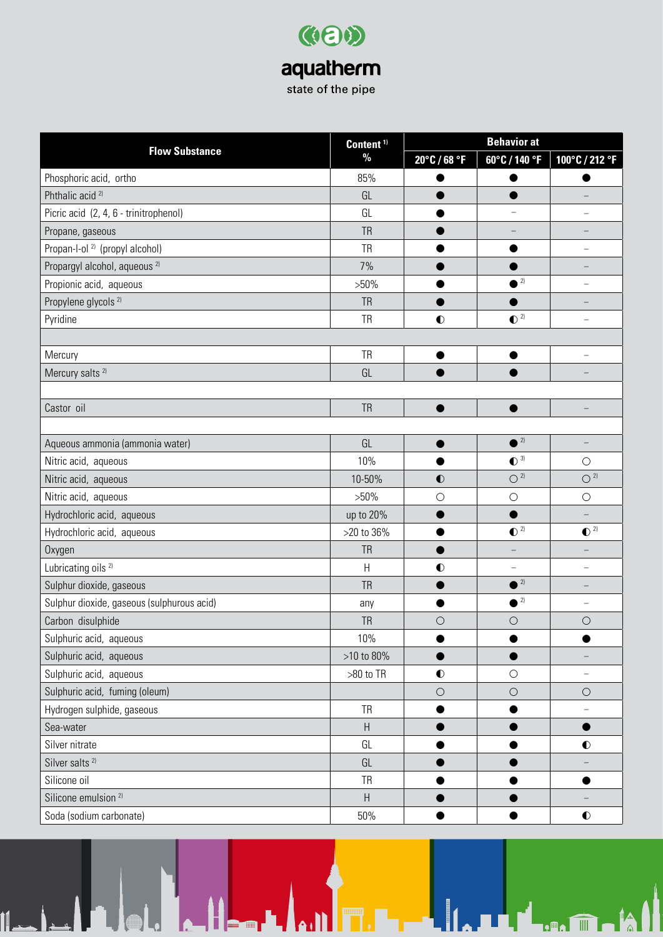|                                            | Content <sup>1)</sup>     | <b>Behavior at</b> |                          |                          |
|--------------------------------------------|---------------------------|--------------------|--------------------------|--------------------------|
| <b>Flow Substance</b>                      | $\frac{0}{0}$             | 20°C / 68 °F       | 60°C / 140 °F            | 100°C / 212 °F           |
| Phosphoric acid, ortho                     | 85%                       |                    |                          |                          |
| Phthalic acid <sup>2)</sup>                | GL                        |                    |                          |                          |
| Picric acid (2, 4, 6 - trinitrophenol)     | GL                        |                    | $\equiv$                 | $\overline{\phantom{0}}$ |
| Propane, gaseous                           | <b>TR</b>                 |                    |                          |                          |
| Propan-l-ol <sup>2)</sup> (propyl alcohol) | <b>TR</b>                 |                    |                          |                          |
| Propargyl alcohol, aqueous <sup>2)</sup>   | 7%                        |                    |                          |                          |
| Propionic acid, aqueous                    | $>50\%$                   |                    | $\binom{2}{}$            |                          |
| Propylene glycols <sup>2)</sup>            | <b>TR</b>                 |                    |                          |                          |
| Pyridine                                   | <b>TR</b>                 | $\bullet$          | $\bullet$ <sup>2)</sup>  | $\overline{\phantom{0}}$ |
|                                            |                           |                    |                          |                          |
| Mercury                                    | <b>TR</b>                 | ●                  | ●                        |                          |
| Mercury salts <sup>2)</sup>                | GL                        |                    |                          |                          |
|                                            |                           |                    |                          |                          |
| Castor oil                                 | <b>TR</b>                 |                    |                          |                          |
|                                            |                           |                    |                          |                          |
| Aqueous ammonia (ammonia water)            | GL                        |                    | $^2$                     | $\qquad \qquad -$        |
| Nitric acid, aqueous                       | 10%                       |                    | $\bullet$ <sup>3)</sup>  | $\bigcirc$               |
| Nitric acid, aqueous                       | 10-50%                    | $\bullet$          | $\bigcirc$ 2)            | $O^{2}$                  |
| Nitric acid, aqueous                       | $>50\%$                   | $\bigcirc$         | $\bigcirc$               | $\bigcirc$               |
| Hydrochloric acid, aqueous                 | up to 20%                 |                    |                          | $\qquad \qquad -$        |
| Hydrochloric acid, aqueous                 | >20 to 36%                |                    | $\bullet$ <sup>2)</sup>  | $\bullet$ <sup>2)</sup>  |
| Oxygen                                     | <b>TR</b>                 | ●                  |                          |                          |
| Lubricating oils <sup>2)</sup>             | Н                         | $\bullet$          | $\overline{\phantom{0}}$ | $\overline{\phantom{0}}$ |
| Sulphur dioxide, gaseous                   | <b>TR</b>                 |                    | $\bullet$ <sup>2)</sup>  |                          |
| Sulphur dioxide, gaseous (sulphurous acid) | any                       |                    | $\bullet$ <sup>2)</sup>  | $\overline{\phantom{0}}$ |
| Carbon disulphide                          | <b>TR</b>                 | $\bigcirc$         | $\bigcirc$               | $\bigcirc$               |
| Sulphuric acid, aqueous                    | 10%                       |                    |                          |                          |
| Sulphuric acid, aqueous                    | >10 to 80%                |                    |                          |                          |
| Sulphuric acid, aqueous                    | >80 to TR                 | $\bullet$          | $\bigcirc$               | $\qquad \qquad -$        |
| Sulphuric acid, fuming (oleum)             |                           | $\bigcirc$         | $\bigcirc$               | $\bigcirc$               |
| Hydrogen sulphide, gaseous                 | <b>TR</b>                 |                    |                          | $\qquad \qquad -$        |
| Sea-water                                  | H                         |                    |                          | $\bullet$                |
| Silver nitrate                             | GL                        |                    |                          | $\bullet$                |
| Silver salts <sup>2)</sup>                 | GL                        |                    |                          |                          |
| Silicone oil                               | <b>TR</b>                 |                    |                          |                          |
| Silicone emulsion <sup>2)</sup>            | $\boldsymbol{\mathsf{H}}$ |                    |                          |                          |
| Soda (sodium carbonate)                    | 50%                       |                    |                          | $\bullet$                |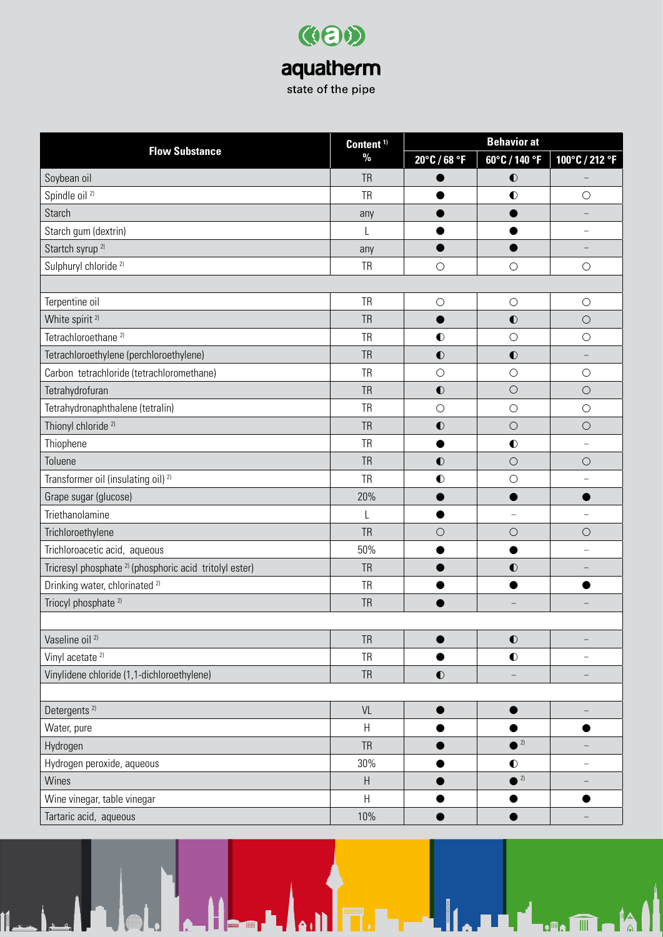| Content <sup>1)</sup>                                              | <b>Behavior at</b>        |              |                   |                          |
|--------------------------------------------------------------------|---------------------------|--------------|-------------------|--------------------------|
| <b>Flow Substance</b>                                              | $\%$                      | 20°C / 68 °F | 60°C / 140 °F     | 100°C / 212 °F           |
| Soybean oil                                                        | <b>TR</b>                 |              | $\bullet$         |                          |
| Spindle oil <sup>2)</sup>                                          | <b>TR</b>                 |              | $\bullet$         | $\bigcirc$               |
| Starch                                                             | any                       |              |                   |                          |
| Starch gum (dextrin)                                               | L                         |              |                   |                          |
| Startch syrup <sup>2)</sup>                                        | any                       |              |                   | -                        |
| Sulphuryl chloride <sup>2)</sup>                                   | TR                        | $\bigcirc$   | $\bigcirc$        | $\bigcirc$               |
|                                                                    |                           |              |                   |                          |
| Terpentine oil                                                     | <b>TR</b>                 | $\bigcirc$   | $\bigcirc$        | $\bigcirc$               |
| White spirit <sup>2)</sup>                                         | <b>TR</b>                 |              | $\bullet$         | $\bigcirc$               |
| Tetrachloroethane <sup>2)</sup>                                    | <b>TR</b>                 | $\bullet$    | $\bigcirc$        | $\bigcirc$               |
| Tetrachloroethylene (perchloroethylene)                            | <b>TR</b>                 | $\bullet$    | $\bullet$         | $\overline{\phantom{0}}$ |
| Carbon tetrachloride (tetrachloromethane)                          | <b>TR</b>                 | $\bigcirc$   | $\bigcirc$        | $\bigcirc$               |
| Tetrahydrofuran                                                    | <b>TR</b>                 | $\bullet$    | $\circ$           | $\bigcirc$               |
| Tetrahydronaphthalene (tetralin)                                   | <b>TR</b>                 | $\bigcirc$   | $\bigcirc$        | $\bigcirc$               |
| Thionyl chloride <sup>2)</sup>                                     | <b>TR</b>                 | $\bullet$    | $\circ$           | $\bigcirc$               |
| Thiophene                                                          | <b>TR</b>                 |              | $\bullet$         |                          |
| Toluene                                                            | <b>TR</b>                 | $\bullet$    | $\bigcirc$        | $\bigcirc$               |
| Transformer oil (insulating oil) <sup>2)</sup>                     | <b>TR</b>                 | $\bullet$    | $\bigcirc$        | $\overline{\phantom{0}}$ |
| Grape sugar (glucose)                                              | 20%                       |              |                   |                          |
| Triethanolamine                                                    | L                         |              | $\equiv$          | L                        |
| Trichloroethylene                                                  | <b>TR</b>                 | $\bigcirc$   | $\bigcirc$        | $\bigcirc$               |
| Trichloroacetic acid, aqueous                                      | 50%                       |              |                   |                          |
| Tricresyl phosphate <sup>2)</sup> (phosphoric acid tritolyl ester) | <b>TR</b>                 |              | $\bullet$         |                          |
| Drinking water, chlorinated <sup>2)</sup>                          | TR                        |              |                   |                          |
| Triocyl phosphate <sup>2)</sup>                                    | <b>TR</b>                 |              |                   |                          |
|                                                                    |                           |              |                   |                          |
| Vaseline oil <sup>2)</sup>                                         | <b>TR</b>                 |              | $\bullet$         | $\qquad \qquad -$        |
| Vinyl acetate <sup>2)</sup>                                        | <b>TR</b>                 |              | $\bullet$         | $\overline{\phantom{0}}$ |
| Vinylidene chloride (1,1-dichloroethylene)                         | <b>TR</b>                 | $\bullet$    | $\qquad \qquad -$ | -                        |
|                                                                    |                           |              |                   |                          |
| Detergents <sup>2)</sup>                                           | VL                        |              |                   |                          |
| Water, pure                                                        | H                         |              | ●                 | ●                        |
| Hydrogen                                                           | <b>TR</b>                 |              | $^2$              |                          |
| Hydrogen peroxide, aqueous                                         | 30%                       |              | $\bullet$         |                          |
| Wines                                                              | $\boldsymbol{\mathsf{H}}$ |              | $^2$              | -                        |
| Wine vinegar, table vinegar                                        | H                         |              |                   |                          |
| Tartaric acid, aqueous                                             | 10%                       |              |                   |                          |